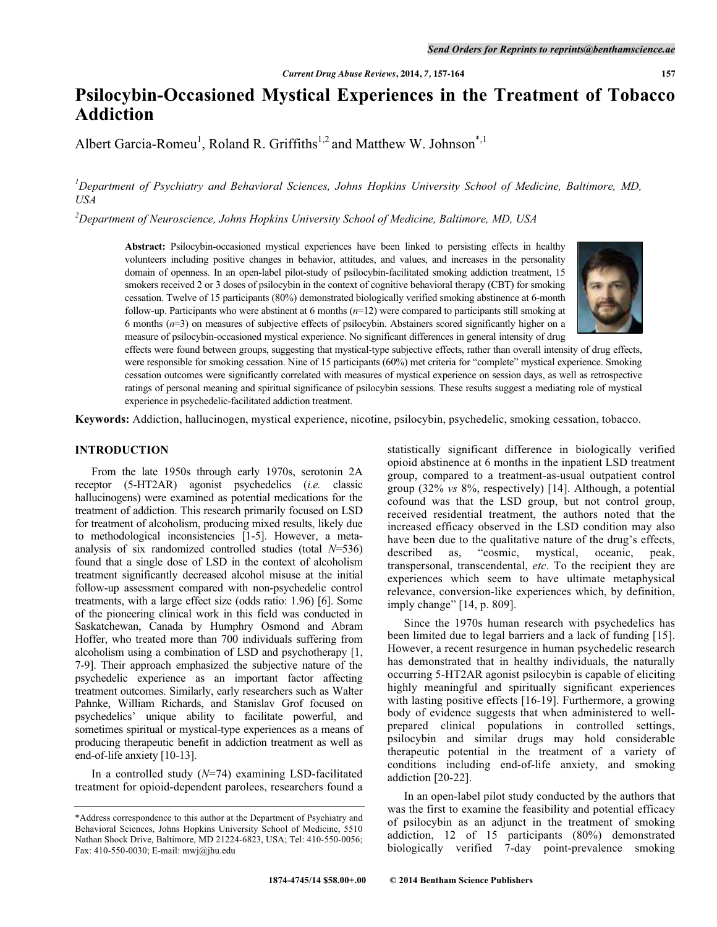# **Psilocybin-Occasioned Mystical Experiences in the Treatment of Tobacco Addiction**

Albert Garcia-Romeu<sup>1</sup>, Roland R. Griffiths<sup>1,2</sup> and Matthew W. Johnson<sup>\*,1</sup>

*<sup>1</sup>Department of Psychiatry and Behavioral Sciences, Johns Hopkins University School of Medicine, Baltimore, MD, USA* 

*<sup>2</sup>Department of Neuroscience, Johns Hopkins University School of Medicine, Baltimore, MD, USA* 

**Abstract:** Psilocybin-occasioned mystical experiences have been linked to persisting effects in healthy volunteers including positive changes in behavior, attitudes, and values, and increases in the personality domain of openness. In an open-label pilot-study of psilocybin-facilitated smoking addiction treatment, 15 smokers received 2 or 3 doses of psilocybin in the context of cognitive behavioral therapy (CBT) for smoking cessation. Twelve of 15 participants (80%) demonstrated biologically verified smoking abstinence at 6-month follow-up. Participants who were abstinent at 6 months (*n*=12) were compared to participants still smoking at 6 months (*n*=3) on measures of subjective effects of psilocybin. Abstainers scored significantly higher on a measure of psilocybin-occasioned mystical experience. No significant differences in general intensity of drug



effects were found between groups, suggesting that mystical-type subjective effects, rather than overall intensity of drug effects, were responsible for smoking cessation. Nine of 15 participants (60%) met criteria for "complete" mystical experience. Smoking cessation outcomes were significantly correlated with measures of mystical experience on session days, as well as retrospective ratings of personal meaning and spiritual significance of psilocybin sessions. These results suggest a mediating role of mystical experience in psychedelic-facilitated addiction treatment.

**Keywords:** Addiction, hallucinogen, mystical experience, nicotine, psilocybin, psychedelic, smoking cessation, tobacco.

# **INTRODUCTION**

 From the late 1950s through early 1970s, serotonin 2A receptor (5-HT2AR) agonist psychedelics (*i.e.* classic hallucinogens) were examined as potential medications for the treatment of addiction. This research primarily focused on LSD for treatment of alcoholism, producing mixed results, likely due to methodological inconsistencies [1-5]. However, a metaanalysis of six randomized controlled studies (total *N*=536) found that a single dose of LSD in the context of alcoholism treatment significantly decreased alcohol misuse at the initial follow-up assessment compared with non-psychedelic control treatments, with a large effect size (odds ratio: 1.96) [6]. Some of the pioneering clinical work in this field was conducted in Saskatchewan, Canada by Humphry Osmond and Abram Hoffer, who treated more than 700 individuals suffering from alcoholism using a combination of LSD and psychotherapy [1, 7-9]. Their approach emphasized the subjective nature of the psychedelic experience as an important factor affecting treatment outcomes. Similarly, early researchers such as Walter Pahnke, William Richards, and Stanislav Grof focused on psychedelics' unique ability to facilitate powerful, and sometimes spiritual or mystical-type experiences as a means of producing therapeutic benefit in addiction treatment as well as end-of-life anxiety [10-13].

 In a controlled study (*N*=74) examining LSD-facilitated treatment for opioid-dependent parolees, researchers found a statistically significant difference in biologically verified opioid abstinence at 6 months in the inpatient LSD treatment group, compared to a treatment-as-usual outpatient control group (32% *vs* 8%, respectively) [14]. Although, a potential cofound was that the LSD group, but not control group, received residential treatment, the authors noted that the increased efficacy observed in the LSD condition may also have been due to the qualitative nature of the drug's effects, described as, "cosmic, mystical, oceanic, peak, transpersonal, transcendental, *etc*. To the recipient they are experiences which seem to have ultimate metaphysical relevance, conversion-like experiences which, by definition, imply change" [14, p. 809].

 Since the 1970s human research with psychedelics has been limited due to legal barriers and a lack of funding [15]. However, a recent resurgence in human psychedelic research has demonstrated that in healthy individuals, the naturally occurring 5-HT2AR agonist psilocybin is capable of eliciting highly meaningful and spiritually significant experiences with lasting positive effects [16-19]. Furthermore, a growing body of evidence suggests that when administered to wellprepared clinical populations in controlled settings, psilocybin and similar drugs may hold considerable therapeutic potential in the treatment of a variety of conditions including end-of-life anxiety, and smoking addiction [20-22].

 In an open-label pilot study conducted by the authors that was the first to examine the feasibility and potential efficacy of psilocybin as an adjunct in the treatment of smoking addiction, 12 of 15 participants (80%) demonstrated biologically verified 7-day point-prevalence smoking

<sup>\*</sup>Address correspondence to this author at the Department of Psychiatry and Behavioral Sciences, Johns Hopkins University School of Medicine, 5510 Nathan Shock Drive, Baltimore, MD 21224-6823, USA; Tel: 410-550-0056; Fax: 410-550-0030; E-mail: mwj@jhu.edu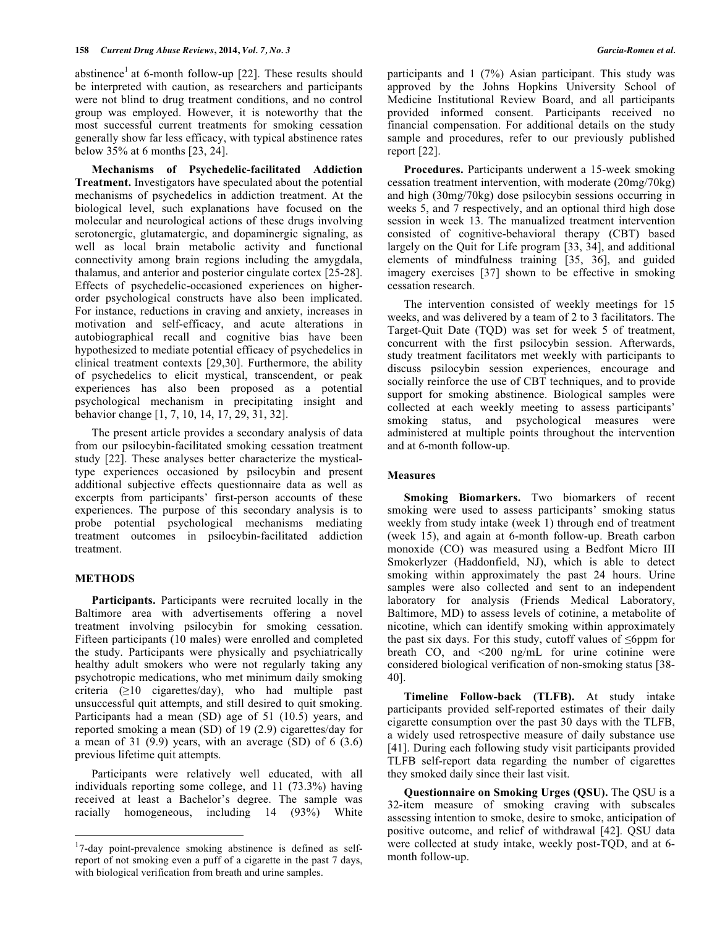abstinence<sup>1</sup> at 6-month follow-up [22]. These results should be interpreted with caution, as researchers and participants were not blind to drug treatment conditions, and no control group was employed. However, it is noteworthy that the most successful current treatments for smoking cessation generally show far less efficacy, with typical abstinence rates below 35% at 6 months [23, 24].

 **Mechanisms of Psychedelic-facilitated Addiction Treatment.** Investigators have speculated about the potential mechanisms of psychedelics in addiction treatment. At the biological level, such explanations have focused on the molecular and neurological actions of these drugs involving serotonergic, glutamatergic, and dopaminergic signaling, as well as local brain metabolic activity and functional connectivity among brain regions including the amygdala, thalamus, and anterior and posterior cingulate cortex [25-28]. Effects of psychedelic-occasioned experiences on higherorder psychological constructs have also been implicated. For instance, reductions in craving and anxiety, increases in motivation and self-efficacy, and acute alterations in autobiographical recall and cognitive bias have been hypothesized to mediate potential efficacy of psychedelics in clinical treatment contexts [29,30]. Furthermore, the ability of psychedelics to elicit mystical, transcendent, or peak experiences has also been proposed as a potential psychological mechanism in precipitating insight and behavior change [1, 7, 10, 14, 17, 29, 31, 32].

 The present article provides a secondary analysis of data from our psilocybin-facilitated smoking cessation treatment study [22]. These analyses better characterize the mysticaltype experiences occasioned by psilocybin and present additional subjective effects questionnaire data as well as excerpts from participants' first-person accounts of these experiences. The purpose of this secondary analysis is to probe potential psychological mechanisms mediating treatment outcomes in psilocybin-facilitated addiction treatment.

## **METHODS**

 $\overline{a}$ 

 **Participants.** Participants were recruited locally in the Baltimore area with advertisements offering a novel treatment involving psilocybin for smoking cessation. Fifteen participants (10 males) were enrolled and completed the study. Participants were physically and psychiatrically healthy adult smokers who were not regularly taking any psychotropic medications, who met minimum daily smoking criteria  $(\geq 10$  cigarettes/day), who had multiple past unsuccessful quit attempts, and still desired to quit smoking. Participants had a mean (SD) age of 51 (10.5) years, and reported smoking a mean (SD) of 19 (2.9) cigarettes/day for a mean of 31  $(9.9)$  years, with an average  $(SD)$  of 6  $(3.6)$ previous lifetime quit attempts.

 Participants were relatively well educated, with all individuals reporting some college, and 11 (73.3%) having received at least a Bachelor's degree. The sample was racially homogeneous, including 14 (93%) White

participants and 1 (7%) Asian participant. This study was approved by the Johns Hopkins University School of Medicine Institutional Review Board, and all participants provided informed consent. Participants received no financial compensation. For additional details on the study sample and procedures, refer to our previously published report [22].

**Procedures.** Participants underwent a 15-week smoking cessation treatment intervention, with moderate (20mg/70kg) and high (30mg/70kg) dose psilocybin sessions occurring in weeks 5, and 7 respectively, and an optional third high dose session in week 13. The manualized treatment intervention consisted of cognitive-behavioral therapy (CBT) based largely on the Quit for Life program [33, 34], and additional elements of mindfulness training [35, 36], and guided imagery exercises [37] shown to be effective in smoking cessation research.

 The intervention consisted of weekly meetings for 15 weeks, and was delivered by a team of 2 to 3 facilitators. The Target-Quit Date (TQD) was set for week 5 of treatment, concurrent with the first psilocybin session. Afterwards, study treatment facilitators met weekly with participants to discuss psilocybin session experiences, encourage and socially reinforce the use of CBT techniques, and to provide support for smoking abstinence. Biological samples were collected at each weekly meeting to assess participants' smoking status, and psychological measures were administered at multiple points throughout the intervention and at 6-month follow-up.

#### **Measures**

 **Smoking Biomarkers.** Two biomarkers of recent smoking were used to assess participants' smoking status weekly from study intake (week 1) through end of treatment (week 15), and again at 6-month follow-up. Breath carbon monoxide (CO) was measured using a Bedfont Micro III Smokerlyzer (Haddonfield, NJ), which is able to detect smoking within approximately the past 24 hours. Urine samples were also collected and sent to an independent laboratory for analysis (Friends Medical Laboratory, Baltimore, MD) to assess levels of cotinine, a metabolite of nicotine, which can identify smoking within approximately the past six days. For this study, cutoff values of ≤6ppm for breath CO, and <200 ng/mL for urine cotinine were considered biological verification of non-smoking status [38- 40].

 **Timeline Follow-back (TLFB).** At study intake participants provided self-reported estimates of their daily cigarette consumption over the past 30 days with the TLFB, a widely used retrospective measure of daily substance use [41]. During each following study visit participants provided TLFB self-report data regarding the number of cigarettes they smoked daily since their last visit.

 **Questionnaire on Smoking Urges (QSU).** The QSU is a 32-item measure of smoking craving with subscales assessing intention to smoke, desire to smoke, anticipation of positive outcome, and relief of withdrawal [42]. QSU data were collected at study intake, weekly post-TQD, and at 6 month follow-up.

<sup>&</sup>lt;sup>1</sup>7-day point-prevalence smoking abstinence is defined as selfreport of not smoking even a puff of a cigarette in the past 7 days, with biological verification from breath and urine samples.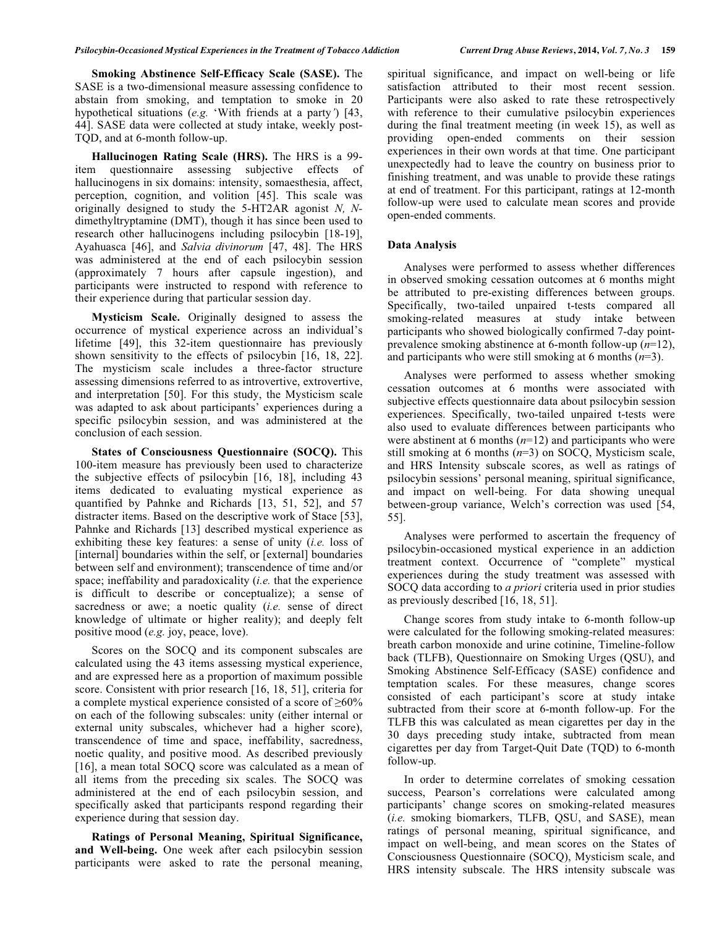**Smoking Abstinence Self-Efficacy Scale (SASE).** The SASE is a two-dimensional measure assessing confidence to abstain from smoking, and temptation to smoke in 20 hypothetical situations (*e.g.* 'With friends at a party*'*) [43, 44]. SASE data were collected at study intake, weekly post-TQD, and at 6-month follow-up.

 **Hallucinogen Rating Scale (HRS).** The HRS is a 99 item questionnaire assessing subjective effects of hallucinogens in six domains: intensity, somaesthesia, affect, perception, cognition, and volition [45]. This scale was originally designed to study the 5-HT2AR agonist *N, N*dimethyltryptamine (DMT), though it has since been used to research other hallucinogens including psilocybin [18-19], Ayahuasca [46], and *Salvia divinorum* [47, 48]. The HRS was administered at the end of each psilocybin session (approximately 7 hours after capsule ingestion), and participants were instructed to respond with reference to their experience during that particular session day.

 **Mysticism Scale.** Originally designed to assess the occurrence of mystical experience across an individual's lifetime [49], this 32-item questionnaire has previously shown sensitivity to the effects of psilocybin [16, 18, 22]. The mysticism scale includes a three-factor structure assessing dimensions referred to as introvertive, extrovertive, and interpretation [50]. For this study, the Mysticism scale was adapted to ask about participants' experiences during a specific psilocybin session, and was administered at the conclusion of each session.

 **States of Consciousness Questionnaire (SOCQ).** This 100-item measure has previously been used to characterize the subjective effects of psilocybin [16, 18], including 43 items dedicated to evaluating mystical experience as quantified by Pahnke and Richards [13, 51, 52], and 57 distracter items. Based on the descriptive work of Stace [53], Pahnke and Richards [13] described mystical experience as exhibiting these key features: a sense of unity (*i.e.* loss of [internal] boundaries within the self, or [external] boundaries between self and environment); transcendence of time and/or space; ineffability and paradoxicality (*i.e.* that the experience is difficult to describe or conceptualize); a sense of sacredness or awe; a noetic quality (*i.e.* sense of direct knowledge of ultimate or higher reality); and deeply felt positive mood (*e.g.* joy, peace, love).

 Scores on the SOCQ and its component subscales are calculated using the 43 items assessing mystical experience, and are expressed here as a proportion of maximum possible score. Consistent with prior research [16, 18, 51], criteria for a complete mystical experience consisted of a score of ≥60% on each of the following subscales: unity (either internal or external unity subscales, whichever had a higher score), transcendence of time and space, ineffability, sacredness, noetic quality, and positive mood. As described previously [16], a mean total SOCQ score was calculated as a mean of all items from the preceding six scales. The SOCQ was administered at the end of each psilocybin session, and specifically asked that participants respond regarding their experience during that session day.

**Ratings of Personal Meaning, Spiritual Significance, and Well-being.** One week after each psilocybin session participants were asked to rate the personal meaning,

spiritual significance, and impact on well-being or life satisfaction attributed to their most recent session. Participants were also asked to rate these retrospectively with reference to their cumulative psilocybin experiences during the final treatment meeting (in week 15), as well as providing open-ended comments on their session experiences in their own words at that time. One participant unexpectedly had to leave the country on business prior to finishing treatment, and was unable to provide these ratings at end of treatment. For this participant, ratings at 12-month follow-up were used to calculate mean scores and provide open-ended comments.

#### **Data Analysis**

Analyses were performed to assess whether differences in observed smoking cessation outcomes at 6 months might be attributed to pre-existing differences between groups. Specifically, two-tailed unpaired t-tests compared all smoking-related measures at study intake between participants who showed biologically confirmed 7-day pointprevalence smoking abstinence at 6-month follow-up (*n*=12), and participants who were still smoking at 6 months (*n*=3).

 Analyses were performed to assess whether smoking cessation outcomes at 6 months were associated with subjective effects questionnaire data about psilocybin session experiences. Specifically, two-tailed unpaired t-tests were also used to evaluate differences between participants who were abstinent at 6 months (*n*=12) and participants who were still smoking at 6 months (*n*=3) on SOCQ, Mysticism scale, and HRS Intensity subscale scores, as well as ratings of psilocybin sessions' personal meaning, spiritual significance, and impact on well-being. For data showing unequal between-group variance, Welch's correction was used [54, 55].

 Analyses were performed to ascertain the frequency of psilocybin-occasioned mystical experience in an addiction treatment context. Occurrence of "complete" mystical experiences during the study treatment was assessed with SOCQ data according to *a priori* criteria used in prior studies as previously described [16, 18, 51].

 Change scores from study intake to 6-month follow-up were calculated for the following smoking-related measures: breath carbon monoxide and urine cotinine, Timeline-follow back (TLFB), Questionnaire on Smoking Urges (QSU), and Smoking Abstinence Self-Efficacy (SASE) confidence and temptation scales. For these measures, change scores consisted of each participant's score at study intake subtracted from their score at 6-month follow-up. For the TLFB this was calculated as mean cigarettes per day in the 30 days preceding study intake, subtracted from mean cigarettes per day from Target-Quit Date (TQD) to 6-month follow-up.

 In order to determine correlates of smoking cessation success, Pearson's correlations were calculated among participants' change scores on smoking-related measures (*i.e.* smoking biomarkers, TLFB, QSU, and SASE), mean ratings of personal meaning, spiritual significance, and impact on well-being, and mean scores on the States of Consciousness Questionnaire (SOCQ), Mysticism scale, and HRS intensity subscale. The HRS intensity subscale was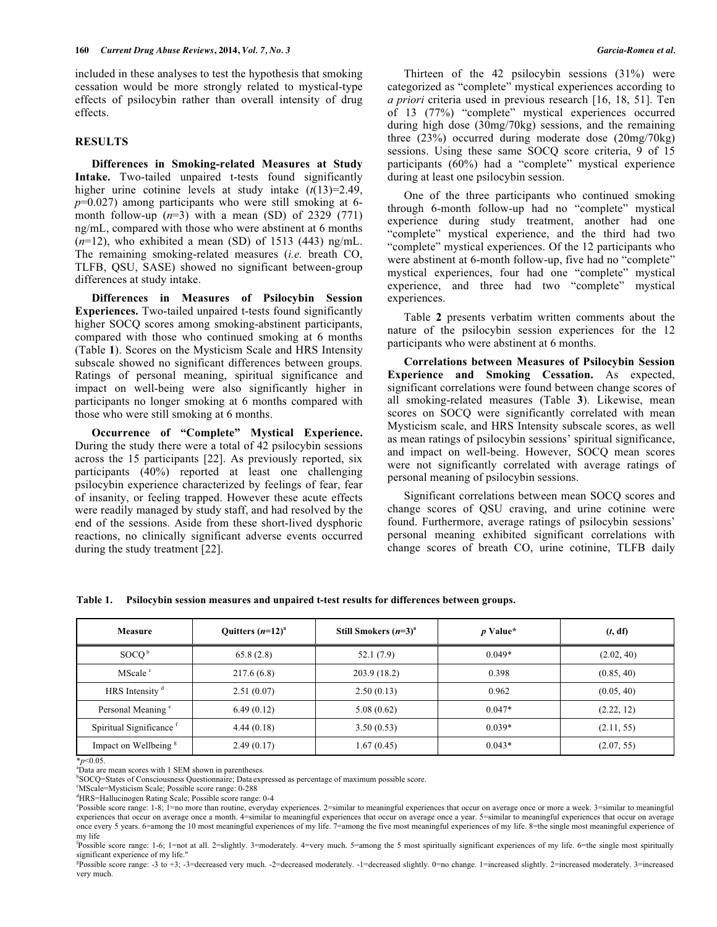included in these analyses to test the hypothesis that smoking cessation would be more strongly related to mystical-type effects of psilocybin rather than overall intensity of drug effects.

#### **RESULTS**

 **Differences in Smoking-related Measures at Study Intake.** Two-tailed unpaired t-tests found significantly higher urine cotinine levels at study intake (*t*(13)=2.49, *p*=0.027) among participants who were still smoking at 6 month follow-up  $(n=3)$  with a mean (SD) of 2329 (771) ng/mL, compared with those who were abstinent at 6 months  $(n=12)$ , who exhibited a mean (SD) of 1513 (443) ng/mL. The remaining smoking-related measures (*i.e.* breath CO, TLFB, QSU, SASE) showed no significant between-group differences at study intake.

**Differences in Measures of Psilocybin Session Experiences.** Two-tailed unpaired t-tests found significantly higher SOCQ scores among smoking-abstinent participants, compared with those who continued smoking at 6 months (Table **1**). Scores on the Mysticism Scale and HRS Intensity subscale showed no significant differences between groups. Ratings of personal meaning, spiritual significance and impact on well-being were also significantly higher in participants no longer smoking at 6 months compared with those who were still smoking at 6 months.

 **Occurrence of "Complete" Mystical Experience.**  During the study there were a total of 42 psilocybin sessions across the 15 participants [22]. As previously reported, six participants (40%) reported at least one challenging psilocybin experience characterized by feelings of fear, fear of insanity, or feeling trapped. However these acute effects were readily managed by study staff, and had resolved by the end of the sessions. Aside from these short-lived dysphoric reactions, no clinically significant adverse events occurred during the study treatment [22].

 Thirteen of the 42 psilocybin sessions (31%) were categorized as "complete" mystical experiences according to *a priori* criteria used in previous research [16, 18, 51]. Ten of 13 (77%) "complete" mystical experiences occurred during high dose (30mg/70kg) sessions, and the remaining three (23%) occurred during moderate dose (20mg/70kg) sessions. Using these same SOCQ score criteria, 9 of 15 participants (60%) had a "complete" mystical experience during at least one psilocybin session.

 One of the three participants who continued smoking through 6-month follow-up had no "complete" mystical experience during study treatment, another had one "complete" mystical experience, and the third had two "complete" mystical experiences. Of the 12 participants who were abstinent at 6-month follow-up, five had no "complete" mystical experiences, four had one "complete" mystical experience, and three had two "complete" mystical experiences.

 Table **2** presents verbatim written comments about the nature of the psilocybin session experiences for the 12 participants who were abstinent at 6 months.

 **Correlations between Measures of Psilocybin Session Experience and Smoking Cessation.** As expected, significant correlations were found between change scores of all smoking-related measures (Table **3**). Likewise, mean scores on SOCQ were significantly correlated with mean Mysticism scale, and HRS Intensity subscale scores, as well as mean ratings of psilocybin sessions' spiritual significance, and impact on well-being. However, SOCQ mean scores were not significantly correlated with average ratings of personal meaning of psilocybin sessions.

 Significant correlations between mean SOCQ scores and change scores of QSU craving, and urine cotinine were found. Furthermore, average ratings of psilocybin sessions' personal meaning exhibited significant correlations with change scores of breath CO, urine cotinine, TLFB daily

**Table 1. Psilocybin session measures and unpaired t-test results for differences between groups.** 

| Measure                             | Ouitters $(n=12)^{a}$ | Still Smokers $(n=3)^{a}$ | $p$ Value* | (t, df)    |  |
|-------------------------------------|-----------------------|---------------------------|------------|------------|--|
| SOCO <sup>b</sup>                   | 65.8(2.8)             | 52.1(7.9)                 | $0.049*$   | (2.02, 40) |  |
| MScale <sup>c</sup>                 | 217.6(6.8)            | 203.9(18.2)               | 0.398      | (0.85, 40) |  |
| HRS Intensity <sup>d</sup>          | 2.51(0.07)            | 2.50(0.13)                | 0.962      | (0.05, 40) |  |
| Personal Meaning <sup>e</sup>       | 6.49(0.12)            | 5.08(0.62)                | $0.047*$   | (2.22, 12) |  |
| Spiritual Significance <sup>f</sup> | 4.44(0.18)            | 3.50(0.53)                | $0.039*$   | (2.11, 55) |  |
| Impact on Wellbeing <sup>g</sup>    | 2.49(0.17)            | 1.67(0.45)                | $0.043*$   | (2.07, 55) |  |

\**p*<0.05.

aData are mean scores with 1 SEM shown in parentheses.

b SOCQ=States of Consciousness Questionnaire; Data expressed as percentage of maximum possible score.

<sup>c</sup>MScale=Mysticism Scale; Possible score range: 0-288

<sup>d</sup>HRS=Hallucinogen Rating Scale; Possible score range: 0-4

e Possible score range: 1-8; 1=no more than routine, everyday experiences. 2=similar to meaningful experiences that occur on average once or more a week. 3=similar to meaningful experiences that occur on average once a month. 4=similar to meaningful experiences that occur on average once a year. 5=similar to meaningful experiences that occur on average once every 5 years. 6=among the 10 most meaningful experiences of my life. 7=among the five most meaningful experiences of my life. 8=the single most meaningful experience of my life

<sup>f</sup>possible score range: 1-6; 1=not at all. 2=slightly. 3=moderately. 4=very much. 5=among the 5 most spiritually significant experiences of my life. 6=the single most spiritually significant experience of my life."

g Possible score range: -3 to +3; -3=decreased very much. -2=decreased moderately. -1=decreased slightly. 0=no change. 1=increased slightly. 2=increased moderately. 3=increased very much.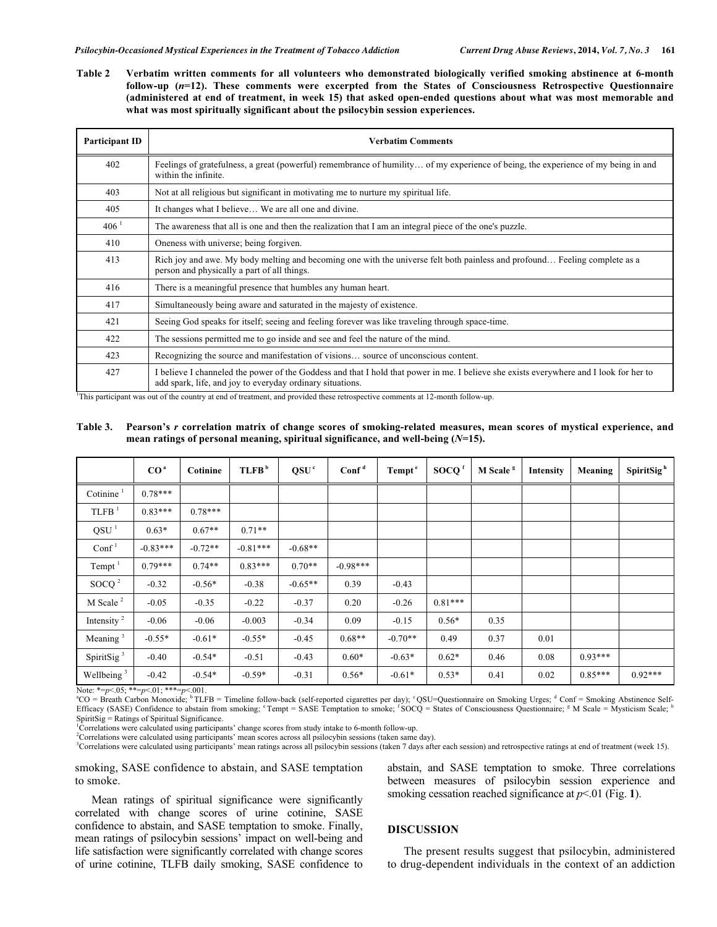**Table 2 Verbatim written comments for all volunteers who demonstrated biologically verified smoking abstinence at 6-month follow-up (***n***=12). These comments were excerpted from the States of Consciousness Retrospective Questionnaire (administered at end of treatment, in week 15) that asked open-ended questions about what was most memorable and what was most spiritually significant about the psilocybin session experiences.** 

| Participant ID      | <b>Verbatim Comments</b>                                                                                                                                                                            |  |  |  |  |  |
|---------------------|-----------------------------------------------------------------------------------------------------------------------------------------------------------------------------------------------------|--|--|--|--|--|
| 402                 | Feelings of gratefulness, a great (powerful) remembrance of humility of my experience of being, the experience of my being in and<br>within the infinite.                                           |  |  |  |  |  |
| 403                 | Not at all religious but significant in motivating me to nurture my spiritual life.                                                                                                                 |  |  |  |  |  |
| 405                 | It changes what I believe We are all one and divine.                                                                                                                                                |  |  |  |  |  |
| $406^{\frac{1}{2}}$ | The awareness that all is one and then the realization that I am an integral piece of the one's puzzle.                                                                                             |  |  |  |  |  |
| 410                 | Oneness with universe; being forgiven.                                                                                                                                                              |  |  |  |  |  |
| 413                 | Rich joy and awe. My body melting and becoming one with the universe felt both painless and profound Feeling complete as a<br>person and physically a part of all things.                           |  |  |  |  |  |
| 416                 | There is a meaningful presence that humbles any human heart.                                                                                                                                        |  |  |  |  |  |
| 417                 | Simultaneously being aware and saturated in the majesty of existence.                                                                                                                               |  |  |  |  |  |
| 421                 | Seeing God speaks for itself; seeing and feeling forever was like traveling through space-time.                                                                                                     |  |  |  |  |  |
| 422                 | The sessions permitted me to go inside and see and feel the nature of the mind.                                                                                                                     |  |  |  |  |  |
| 423                 | Recognizing the source and manifestation of visions source of unconscious content.                                                                                                                  |  |  |  |  |  |
| 427                 | I believe I channeled the power of the Goddess and that I hold that power in me. I believe she exists everywhere and I look for her to<br>add spark, life, and joy to everyday ordinary situations. |  |  |  |  |  |

<sup>1</sup>This participant was out of the country at end of treatment, and provided these retrospective comments at 12-month follow-up.

#### **Table 3. Pearson's** *r* **correlation matrix of change scores of smoking-related measures, mean scores of mystical experience, and mean ratings of personal meaning, spiritual significance, and well-being (***N***=15).**

|                        | CO <sup>a</sup> | Cotinine  | TLFB <sup>b</sup> | QSU <sup>c</sup> | $\text{Conf}^d$ | Tempt <sup>e</sup> | SOCQ <sup>f</sup> | M Scale <sup>s</sup> | Intensity | Meaning   | SpiritSig <sup>h</sup> |
|------------------------|-----------------|-----------|-------------------|------------------|-----------------|--------------------|-------------------|----------------------|-----------|-----------|------------------------|
| Cotinine               | $0.78***$       |           |                   |                  |                 |                    |                   |                      |           |           |                        |
| $TLFB$ <sup>1</sup>    | $0.83***$       | $0.78***$ |                   |                  |                 |                    |                   |                      |           |           |                        |
| QSU <sup>1</sup>       | $0.63*$         | $0.67**$  | $0.71**$          |                  |                 |                    |                   |                      |           |           |                        |
| Conf <sup>1</sup>      | $-0.83***$      | $-0.72**$ | $-0.81***$        | $-0.68**$        |                 |                    |                   |                      |           |           |                        |
| Tempt $1$              | $0.79***$       | $0.74**$  | $0.83***$         | $0.70**$         | $-0.98***$      |                    |                   |                      |           |           |                        |
| SOCQ $^2$              | $-0.32$         | $-0.56*$  | $-0.38$           | $-0.65**$        | 0.39            | $-0.43$            |                   |                      |           |           |                        |
| M Scale $^2$           | $-0.05$         | $-0.35$   | $-0.22$           | $-0.37$          | 0.20            | $-0.26$            | $0.81***$         |                      |           |           |                        |
| Intensity <sup>2</sup> | $-0.06$         | $-0.06$   | $-0.003$          | $-0.34$          | 0.09            | $-0.15$            | $0.56*$           | 0.35                 |           |           |                        |
| Meaning $3$            | $-0.55*$        | $-0.61*$  | $-0.55*$          | $-0.45$          | $0.68**$        | $-0.70**$          | 0.49              | 0.37                 | 0.01      |           |                        |
| SpiritSig <sup>3</sup> | $-0.40$         | $-0.54*$  | $-0.51$           | $-0.43$          | $0.60*$         | $-0.63*$           | $0.62*$           | 0.46                 | 0.08      | $0.93***$ |                        |
| Wellbeing $3$          | $-0.42$         | $-0.54*$  | $-0.59*$          | $-0.31$          | $0.56*$         | $-0.61*$           | $0.53*$           | 0.41                 | 0.02      | $0.85***$ | $0.92***$              |

Note: \*=*p*<.05; \*\*=*p*<.01; \*\*\*=*p*<.001.

<sup>a</sup>CO = Breath Carbon Monoxide; <sup>b</sup>TLFB = Timeline follow-back (self-reported cigarettes per day); °QSU=Questionnaire on Smoking Urges; <sup>d</sup> Conf = Smoking Abstinence Self-Efficacy (SASE) Confidence to abstain from smoking; <sup>e</sup>Tempt = SASE Temptation to smoke; <sup>f</sup>SOCQ = States of Consciousness Questionnaire; <sup>8</sup> M Scale = Mysticism Scale; https://www. SpiritSig = Ratings of Spiritual Significance. <sup>1</sup>Correlations were calculated using participants' change scores from study intake to 6-month follow-up.

<sup>2</sup>Correlations were calculated using participants' mean scores across all psilocybin sessions (taken same day).

<sup>3</sup>Correlations were calculated using participants' mean ratings across all psilocybin sessions (taken 7 days after each session) and retrospective ratings at end of treatment (week 15).

smoking, SASE confidence to abstain, and SASE temptation to smoke.

 Mean ratings of spiritual significance were significantly correlated with change scores of urine cotinine, SASE confidence to abstain, and SASE temptation to smoke. Finally, mean ratings of psilocybin sessions' impact on well-being and life satisfaction were significantly correlated with change scores of urine cotinine, TLFB daily smoking, SASE confidence to

abstain, and SASE temptation to smoke. Three correlations between measures of psilocybin session experience and smoking cessation reached significance at  $p<01$  (Fig. 1).

# **DISCUSSION**

 The present results suggest that psilocybin, administered to drug-dependent individuals in the context of an addiction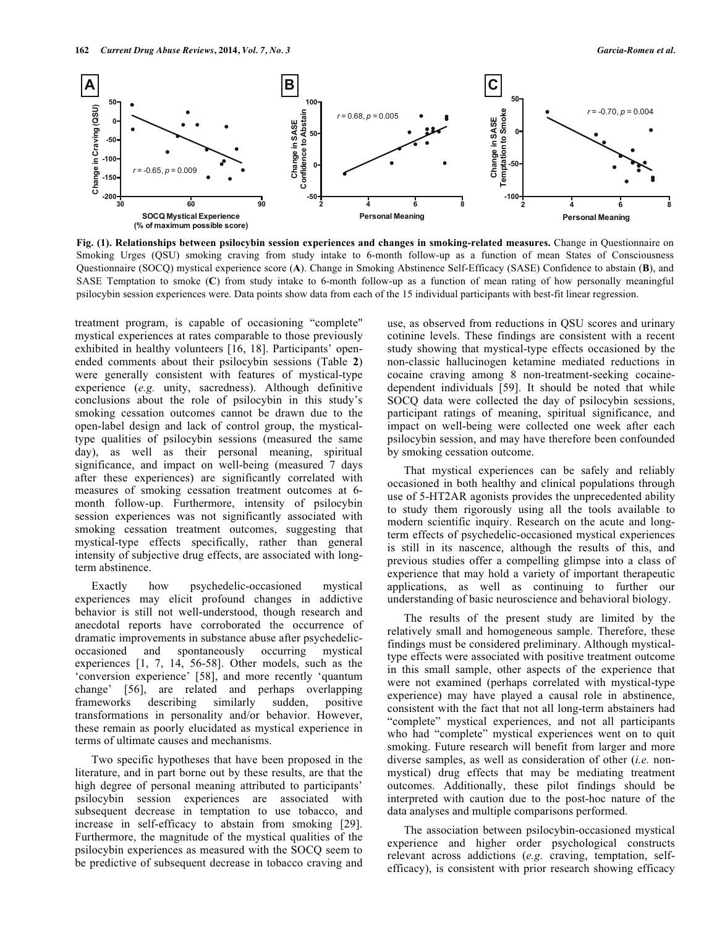

**Fig. (1). Relationships between psilocybin session experiences and changes in smoking-related measures.** Change in Questionnaire on Smoking Urges (QSU) smoking craving from study intake to 6-month follow-up as a function of mean States of Consciousness Questionnaire (SOCQ) mystical experience score (**A**). Change in Smoking Abstinence Self-Efficacy (SASE) Confidence to abstain (**B**), and SASE Temptation to smoke (**C**) from study intake to 6-month follow-up as a function of mean rating of how personally meaningful psilocybin session experiences were. Data points show data from each of the 15 individual participants with best-fit linear regression.

treatment program, is capable of occasioning "complete" mystical experiences at rates comparable to those previously exhibited in healthy volunteers [16, 18]. Participants' openended comments about their psilocybin sessions (Table **2**) were generally consistent with features of mystical-type experience (*e.g.* unity, sacredness). Although definitive conclusions about the role of psilocybin in this study's smoking cessation outcomes cannot be drawn due to the open-label design and lack of control group, the mysticaltype qualities of psilocybin sessions (measured the same day), as well as their personal meaning, spiritual significance, and impact on well-being (measured 7 days after these experiences) are significantly correlated with measures of smoking cessation treatment outcomes at 6 month follow-up. Furthermore, intensity of psilocybin session experiences was not significantly associated with smoking cessation treatment outcomes, suggesting that mystical-type effects specifically, rather than general intensity of subjective drug effects, are associated with longterm abstinence.

 Exactly how psychedelic-occasioned mystical experiences may elicit profound changes in addictive behavior is still not well-understood, though research and anecdotal reports have corroborated the occurrence of dramatic improvements in substance abuse after psychedelicoccasioned and spontaneously occurring mystical experiences [1, 7, 14, 56-58]. Other models, such as the 'conversion experience' [58], and more recently 'quantum change' [56], are related and perhaps overlapping frameworks describing similarly sudden, positive transformations in personality and/or behavior. However, these remain as poorly elucidated as mystical experience in terms of ultimate causes and mechanisms.

 Two specific hypotheses that have been proposed in the literature, and in part borne out by these results, are that the high degree of personal meaning attributed to participants' psilocybin session experiences are associated with subsequent decrease in temptation to use tobacco, and increase in self-efficacy to abstain from smoking [29]. Furthermore, the magnitude of the mystical qualities of the psilocybin experiences as measured with the SOCQ seem to be predictive of subsequent decrease in tobacco craving and

use, as observed from reductions in QSU scores and urinary cotinine levels. These findings are consistent with a recent study showing that mystical-type effects occasioned by the non-classic hallucinogen ketamine mediated reductions in cocaine craving among 8 non-treatment-seeking cocainedependent individuals [59]. It should be noted that while SOCQ data were collected the day of psilocybin sessions, participant ratings of meaning, spiritual significance, and impact on well-being were collected one week after each psilocybin session, and may have therefore been confounded by smoking cessation outcome.

 That mystical experiences can be safely and reliably occasioned in both healthy and clinical populations through use of 5-HT2AR agonists provides the unprecedented ability to study them rigorously using all the tools available to modern scientific inquiry. Research on the acute and longterm effects of psychedelic-occasioned mystical experiences is still in its nascence, although the results of this, and previous studies offer a compelling glimpse into a class of experience that may hold a variety of important therapeutic applications, as well as continuing to further our understanding of basic neuroscience and behavioral biology.

 The results of the present study are limited by the relatively small and homogeneous sample. Therefore, these findings must be considered preliminary. Although mysticaltype effects were associated with positive treatment outcome in this small sample, other aspects of the experience that were not examined (perhaps correlated with mystical-type experience) may have played a causal role in abstinence, consistent with the fact that not all long-term abstainers had "complete" mystical experiences, and not all participants who had "complete" mystical experiences went on to quit smoking. Future research will benefit from larger and more diverse samples, as well as consideration of other (*i.e.* nonmystical) drug effects that may be mediating treatment outcomes. Additionally, these pilot findings should be interpreted with caution due to the post-hoc nature of the data analyses and multiple comparisons performed.

 The association between psilocybin-occasioned mystical experience and higher order psychological constructs relevant across addictions (*e.g.* craving, temptation, selfefficacy), is consistent with prior research showing efficacy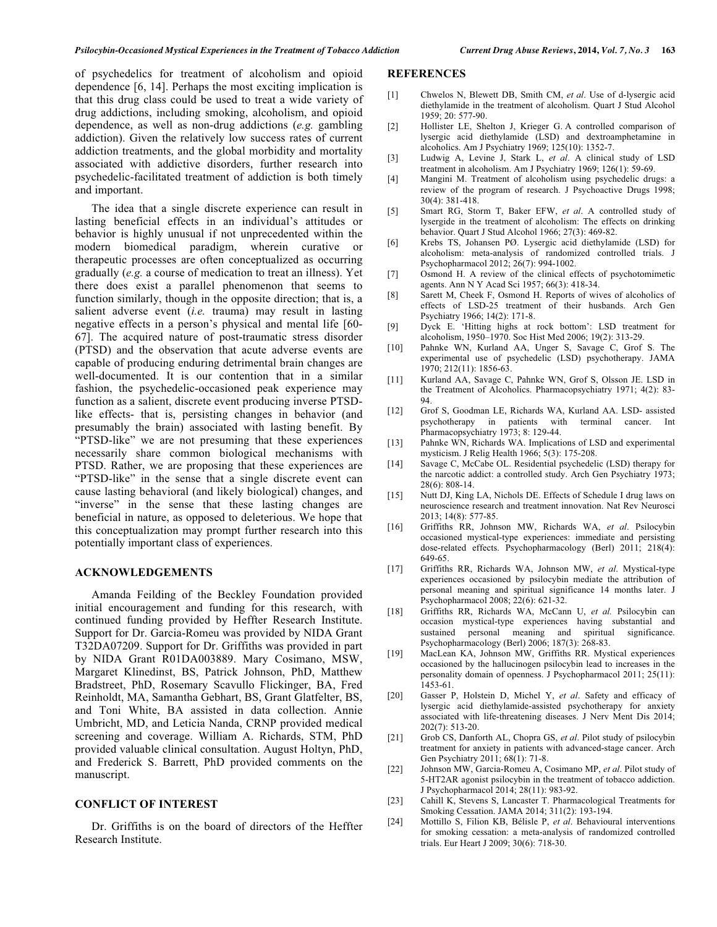of psychedelics for treatment of alcoholism and opioid dependence [6, 14]. Perhaps the most exciting implication is that this drug class could be used to treat a wide variety of drug addictions, including smoking, alcoholism, and opioid dependence, as well as non-drug addictions (*e.g.* gambling addiction). Given the relatively low success rates of current addiction treatments, and the global morbidity and mortality associated with addictive disorders, further research into psychedelic-facilitated treatment of addiction is both timely and important.

 The idea that a single discrete experience can result in lasting beneficial effects in an individual's attitudes or behavior is highly unusual if not unprecedented within the modern biomedical paradigm, wherein curative or therapeutic processes are often conceptualized as occurring gradually (*e.g.* a course of medication to treat an illness). Yet there does exist a parallel phenomenon that seems to function similarly, though in the opposite direction; that is, a salient adverse event (*i.e.* trauma) may result in lasting negative effects in a person's physical and mental life [60- 67]. The acquired nature of post-traumatic stress disorder (PTSD) and the observation that acute adverse events are capable of producing enduring detrimental brain changes are well-documented. It is our contention that in a similar fashion, the psychedelic-occasioned peak experience may function as a salient, discrete event producing inverse PTSDlike effects- that is, persisting changes in behavior (and presumably the brain) associated with lasting benefit. By "PTSD-like" we are not presuming that these experiences necessarily share common biological mechanisms with PTSD. Rather, we are proposing that these experiences are "PTSD-like" in the sense that a single discrete event can cause lasting behavioral (and likely biological) changes, and "inverse" in the sense that these lasting changes are beneficial in nature, as opposed to deleterious. We hope that this conceptualization may prompt further research into this potentially important class of experiences.

#### **ACKNOWLEDGEMENTS**

 Amanda Feilding of the Beckley Foundation provided initial encouragement and funding for this research, with continued funding provided by Heffter Research Institute. Support for Dr. Garcia-Romeu was provided by NIDA Grant T32DA07209. Support for Dr. Griffiths was provided in part by NIDA Grant R01DA003889. Mary Cosimano, MSW, Margaret Klinedinst, BS, Patrick Johnson, PhD, Matthew Bradstreet, PhD, Rosemary Scavullo Flickinger, BA, Fred Reinholdt, MA, Samantha Gebhart, BS, Grant Glatfelter, BS, and Toni White, BA assisted in data collection. Annie Umbricht, MD, and Leticia Nanda, CRNP provided medical screening and coverage. William A. Richards, STM, PhD provided valuable clinical consultation. August Holtyn, PhD, and Frederick S. Barrett, PhD provided comments on the manuscript.

# **CONFLICT OF INTEREST**

 Dr. Griffiths is on the board of directors of the Heffter Research Institute.

# **REFERENCES**

- [1] Chwelos N, Blewett DB, Smith CM, *et al*. Use of d-lysergic acid diethylamide in the treatment of alcoholism. Quart J Stud Alcohol 1959; 20: 577-90.
- [2] Hollister LE, Shelton J, Krieger G. A controlled comparison of lysergic acid diethylamide (LSD) and dextroamphetamine in alcoholics. Am J Psychiatry 1969; 125(10): 1352-7.
- [3] Ludwig A, Levine J, Stark L, *et al*. A clinical study of LSD treatment in alcoholism. Am J Psychiatry 1969; 126(1): 59-69.
- [4] Mangini M. Treatment of alcoholism using psychedelic drugs: a review of the program of research. J Psychoactive Drugs 1998; 30(4): 381-418.
- [5] Smart RG, Storm T, Baker EFW, *et al*. A controlled study of lysergide in the treatment of alcoholism: The effects on drinking behavior. Quart J Stud Alcohol 1966; 27(3): 469-82.
- [6] Krebs TS, Johansen PØ. Lysergic acid diethylamide (LSD) for alcoholism: meta-analysis of randomized controlled trials. J Psychopharmacol 2012; 26(7): 994-1002.
- [7] Osmond H. A review of the clinical effects of psychotomimetic agents. Ann N Y Acad Sci 1957; 66(3): 418-34.
- [8] Sarett M, Cheek F, Osmond H. Reports of wives of alcoholics of effects of LSD-25 treatment of their husbands. Arch Gen Psychiatry 1966; 14(2): 171-8.
- [9] Dyck E. 'Hitting highs at rock bottom': LSD treatment for alcoholism, 1950–1970. Soc Hist Med 2006; 19(2): 313-29.
- [10] Pahnke WN, Kurland AA, Unger S, Savage C, Grof S. The experimental use of psychedelic (LSD) psychotherapy. JAMA 1970; 212(11): 1856-63.
- [11] Kurland AA, Savage C, Pahnke WN, Grof S, Olsson JE. LSD in the Treatment of Alcoholics. Pharmacopsychiatry 1971; 4(2): 83- 94.
- [12] Grof S, Goodman LE, Richards WA, Kurland AA. LSD- assisted psychotherapy in patients with terminal cancer. Int Pharmacopsychiatry 1973; 8: 129-44.
- [13] Pahnke WN, Richards WA. Implications of LSD and experimental mysticism. J Relig Health 1966; 5(3): 175-208.
- [14] Savage C, McCabe OL. Residential psychedelic (LSD) therapy for the narcotic addict: a controlled study. Arch Gen Psychiatry 1973; 28(6): 808-14.
- [15] Nutt DJ, King LA, Nichols DE. Effects of Schedule I drug laws on neuroscience research and treatment innovation. Nat Rev Neurosci 2013; 14(8): 577-85.
- [16] Griffiths RR, Johnson MW, Richards WA, *et al*. Psilocybin occasioned mystical-type experiences: immediate and persisting dose-related effects. Psychopharmacology (Berl) 2011; 218(4): 649-65.
- [17] Griffiths RR, Richards WA, Johnson MW, *et al*. Mystical-type experiences occasioned by psilocybin mediate the attribution of personal meaning and spiritual significance 14 months later. J Psychopharmacol 2008; 22(6): 621-32.
- [18] Griffiths RR, Richards WA, McCann U, *et al.* Psilocybin can occasion mystical-type experiences having substantial and sustained personal meaning and spiritual significance. Psychopharmacology (Berl) 2006; 187(3): 268-83.
- [19] MacLean KA, Johnson MW, Griffiths RR. Mystical experiences occasioned by the hallucinogen psilocybin lead to increases in the personality domain of openness. J Psychopharmacol 2011; 25(11): 1453-61.
- [20] Gasser P, Holstein D, Michel Y, *et al*. Safety and efficacy of lysergic acid diethylamide-assisted psychotherapy for anxiety associated with life-threatening diseases. J Nerv Ment Dis 2014; 202(7): 513-20.
- [21] Grob CS, Danforth AL, Chopra GS, *et al*. Pilot study of psilocybin treatment for anxiety in patients with advanced-stage cancer. Arch Gen Psychiatry 2011; 68(1): 71-8.
- [22] Johnson MW, Garcia-Romeu A, Cosimano MP, *et al*. Pilot study of 5-HT2AR agonist psilocybin in the treatment of tobacco addiction. J Psychopharmacol 2014; 28(11): 983-92.
- [23] Cahill K, Stevens S, Lancaster T. Pharmacological Treatments for Smoking Cessation. JAMA 2014; 311(2): 193-194.
- [24] Mottillo S, Filion KB, Bélisle P, *et al*. Behavioural interventions for smoking cessation: a meta-analysis of randomized controlled trials. Eur Heart J 2009; 30(6): 718-30.